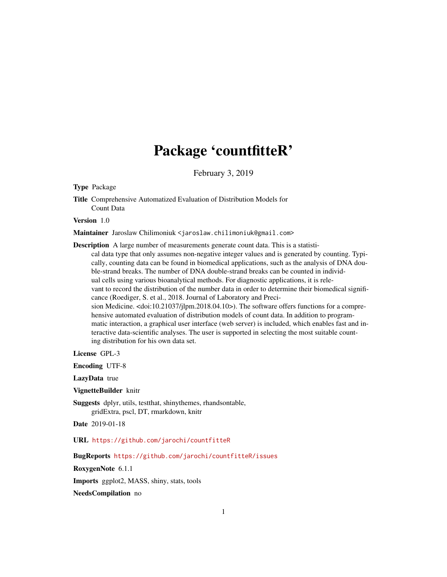## Package 'countfitteR'

February 3, 2019

<span id="page-0-0"></span>Type Package

Title Comprehensive Automatized Evaluation of Distribution Models for Count Data

Version 1.0

Maintainer Jaroslaw Chilimoniuk <jaroslaw.chilimoniuk@gmail.com>

Description A large number of measurements generate count data. This is a statisti-

cal data type that only assumes non-negative integer values and is generated by counting. Typically, counting data can be found in biomedical applications, such as the analysis of DNA double-strand breaks. The number of DNA double-strand breaks can be counted in individual cells using various bioanalytical methods. For diagnostic applications, it is relevant to record the distribution of the number data in order to determine their biomedical significance (Roediger, S. et al., 2018. Journal of Laboratory and Precision Medicine. <doi:10.21037/jlpm.2018.04.10>). The software offers functions for a comprehensive automated evaluation of distribution models of count data. In addition to programmatic interaction, a graphical user interface (web server) is included, which enables fast and interactive data-scientific analyses. The user is supported in selecting the most suitable counting distribution for his own data set.

License GPL-3

Encoding UTF-8

LazyData true

VignetteBuilder knitr

Suggests dplyr, utils, testthat, shinythemes, rhandsontable, gridExtra, pscl, DT, rmarkdown, knitr

Date 2019-01-18

URL <https://github.com/jarochi/countfitteR>

BugReports <https://github.com/jarochi/countfitteR/issues>

RoxygenNote 6.1.1

Imports ggplot2, MASS, shiny, stats, tools

NeedsCompilation no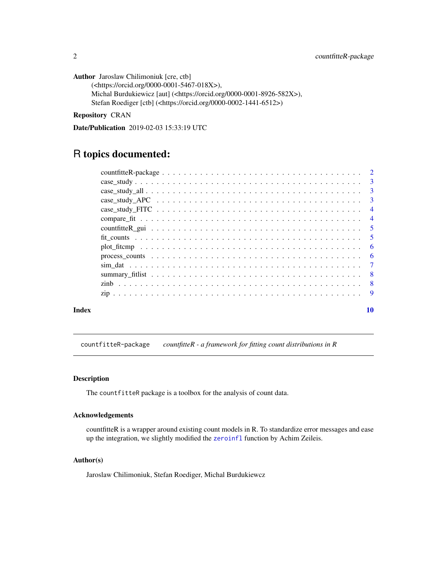<span id="page-1-0"></span>Author Jaroslaw Chilimoniuk [cre, ctb] (<https://orcid.org/0000-0001-5467-018X>), Michal Burdukiewicz [aut] (<https://orcid.org/0000-0001-8926-582X>), Stefan Roediger [ctb] (<https://orcid.org/0000-0002-1441-6512>)

Repository CRAN

Date/Publication 2019-02-03 15:33:19 UTC

### R topics documented:

| Index |                                                                                                           | 10 |
|-------|-----------------------------------------------------------------------------------------------------------|----|
|       |                                                                                                           |    |
|       |                                                                                                           |    |
|       |                                                                                                           |    |
|       |                                                                                                           |    |
|       |                                                                                                           |    |
|       | $plot\_fitcmp \ldots \ldots \ldots \ldots \ldots \ldots \ldots \ldots \ldots \ldots \ldots \ldots \ldots$ |    |
|       |                                                                                                           |    |
|       |                                                                                                           |    |
|       |                                                                                                           |    |
|       |                                                                                                           |    |
|       |                                                                                                           |    |
|       | $case\_study\_all$ 3                                                                                      |    |
|       |                                                                                                           |    |
|       |                                                                                                           |    |

countfitteR-package *countfitteR - a framework for fitting count distributions in R*

#### Description

The countfitteR package is a toolbox for the analysis of count data.

#### Acknowledgements

countfitteR is a wrapper around existing count models in R. To standardize error messages and ease up the integration, we slightly modified the [zeroinfl](#page-0-0) function by Achim Zeileis.

#### Author(s)

Jaroslaw Chilimoniuk, Stefan Roediger, Michal Burdukiewcz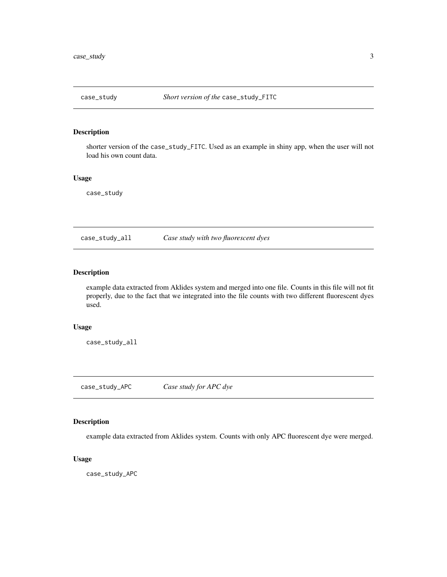<span id="page-2-0"></span>

#### Description

shorter version of the case\_study\_FITC. Used as an example in shiny app, when the user will not load his own count data.

#### Usage

case\_study

case\_study\_all *Case study with two fluorescent dyes*

#### Description

example data extracted from Aklides system and merged into one file. Counts in this file will not fit properly, due to the fact that we integrated into the file counts with two different fluorescent dyes used.

#### Usage

case\_study\_all

case\_study\_APC *Case study for APC dye*

#### Description

example data extracted from Aklides system. Counts with only APC fluorescent dye were merged.

#### Usage

case\_study\_APC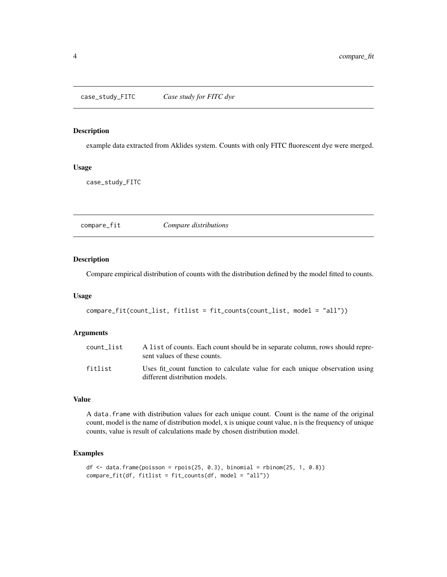#### <span id="page-3-0"></span>Description

example data extracted from Aklides system. Counts with only FITC fluorescent dye were merged.

#### Usage

case\_study\_FITC

compare\_fit *Compare distributions*

#### Description

Compare empirical distribution of counts with the distribution defined by the model fitted to counts.

#### Usage

```
compare_fit(count_list, fitlist = fit_counts(count_list, model = "all"))
```
#### Arguments

| count list | A list of counts. Each count should be in separate column, rows should repre-<br>sent values of these counts.  |
|------------|----------------------------------------------------------------------------------------------------------------|
| fitlist    | Uses fit count function to calculate value for each unique observation using<br>different distribution models. |

#### Value

A data.frame with distribution values for each unique count. Count is the name of the original count, model is the name of distribution model, x is unique count value, n is the frequency of unique counts, value is result of calculations made by chosen distribution model.

#### Examples

```
df \le data.frame(poisson = rpois(25, 0.3), binomial = rbinom(25, 1, 0.8))
compare_fit(df, fitlist = fit_counts(df, model = "all"))
```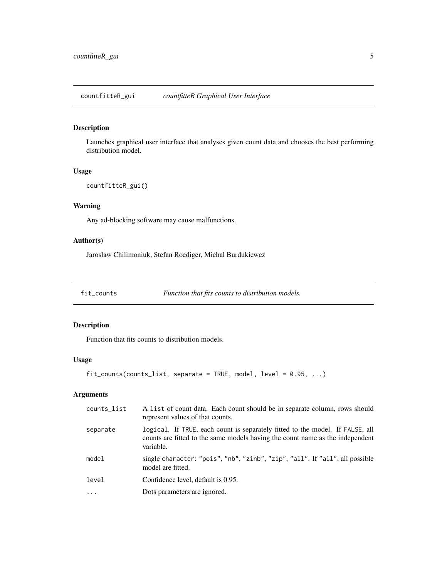<span id="page-4-0"></span>countfitteR\_gui *countfitteR Graphical User Interface*

#### Description

Launches graphical user interface that analyses given count data and chooses the best performing distribution model.

#### Usage

```
countfitteR_gui()
```
#### Warning

Any ad-blocking software may cause malfunctions.

#### Author(s)

Jaroslaw Chilimoniuk, Stefan Roediger, Michal Burdukiewcz

fit\_counts *Function that fits counts to distribution models.*

#### Description

Function that fits counts to distribution models.

#### Usage

fit\_counts(counts\_list, separate = TRUE, model, level = 0.95, ...)

#### Arguments

| counts_list | A list of count data. Each count should be in separate column, rows should<br>represent values of that counts.                                                              |
|-------------|-----------------------------------------------------------------------------------------------------------------------------------------------------------------------------|
| separate    | logical. If TRUE, each count is separately fitted to the model. If FALSE, all<br>counts are fitted to the same models having the count name as the independent<br>variable. |
| model       | single character: "pois", "nb", "zinb", "zip", "all". If "all", all possible<br>model are fitted.                                                                           |
| level       | Confidence level, default is 0.95.                                                                                                                                          |
| $\cdot$     | Dots parameters are ignored.                                                                                                                                                |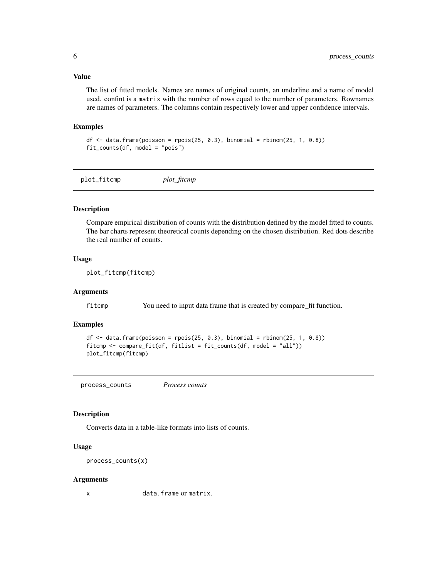#### <span id="page-5-0"></span>Value

The list of fitted models. Names are names of original counts, an underline and a name of model used. confint is a matrix with the number of rows equal to the number of parameters. Rownames are names of parameters. The columns contain respectively lower and upper confidence intervals.

#### Examples

```
df \le data.frame(poisson = rpois(25, 0.3), binomial = rbinom(25, 1, 0.8))
fit_counts(df, model = "pois")
```
plot\_fitcmp *plot\_fitcmp*

#### Description

Compare empirical distribution of counts with the distribution defined by the model fitted to counts. The bar charts represent theoretical counts depending on the chosen distribution. Red dots describe the real number of counts.

#### Usage

plot\_fitcmp(fitcmp)

#### **Arguments**

fitcmp You need to input data frame that is created by compare\_fit function.

#### Examples

```
df \le data.frame(poisson = rpois(25, 0.3), binomial = rbinom(25, 1, 0.8))
fitcmp <- compare_fit(df, fitlist = fit_counts(df, model = "all"))
plot_fitcmp(fitcmp)
```
process\_counts *Process counts*

#### Description

Converts data in a table-like formats into lists of counts.

#### Usage

process\_counts(x)

#### Arguments

x data.frame or matrix.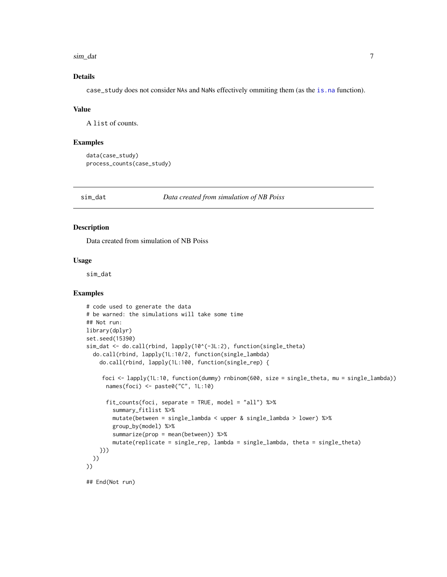<span id="page-6-0"></span>sim\_dat 7

#### Details

case\_study does not consider NAs and NaNs effectively ommiting them (as the [is.na](#page-0-0) function).

#### Value

A list of counts.

#### Examples

```
data(case_study)
process_counts(case_study)
```
sim\_dat *Data created from simulation of NB Poiss*

#### Description

Data created from simulation of NB Poiss

#### Usage

sim\_dat

#### Examples

```
# code used to generate the data
# be warned: the simulations will take some time
## Not run:
library(dplyr)
set.seed(15390)
sim_dat <- do.call(rbind, lapply(10^(-3L:2), function(single_theta)
  do.call(rbind, lapply(1L:10/2, function(single_lambda)
    do.call(rbind, lapply(1L:100, function(single_rep) {
    foci <- lapply(1L:10, function(dummy) rnbinom(600, size = single_theta, mu = single_lambda))
      names(foci) <- paste0("C", 1L:10)
      fit_counts(foci, separate = TRUE, model = "all") %>%
        summary_fitlist %>%
       mutate(between = single_lambda < upper & single_lambda > lower) %>%
        group_by(model) %>%
        summarize(prop = mean(between)) %>%
        mutate(replicate = single_rep, lambda = single_lambda, theta = single_theta)
    }))
 ))
))
## End(Not run)
```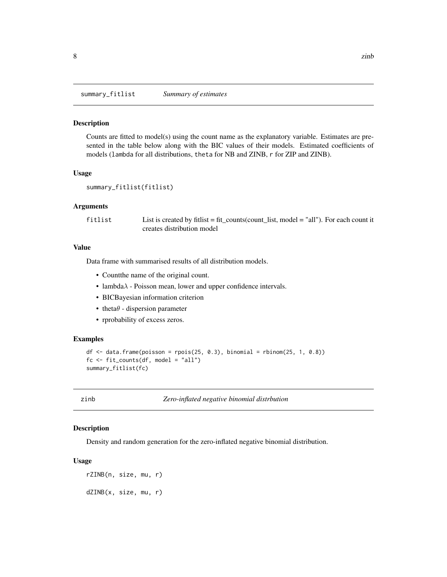<span id="page-7-0"></span>summary\_fitlist *Summary of estimates*

#### Description

Counts are fitted to model(s) using the count name as the explanatory variable. Estimates are presented in the table below along with the BIC values of their models. Estimated coefficients of models (lambda for all distributions, theta for NB and ZINB, r for ZIP and ZINB).

#### Usage

```
summary_fitlist(fitlist)
```
#### Arguments

fitlist List is created by fitlist = fit\_counts(count\_list, model = "all"). For each count it creates distribution model

#### Value

Data frame with summarised results of all distribution models.

- Countthe name of the original count.
- lambda $\lambda$  Poisson mean, lower and upper confidence intervals.
- BICBayesian information criterion
- theta $\theta$  dispersion parameter
- rprobability of excess zeros.

#### Examples

```
df \le data.frame(poisson = rpois(25, 0.3), binomial = rbinom(25, 1, 0.8))
fc \leftarrow fit\_counts(df, model = "all")summary_fitlist(fc)
```
zinb *Zero-inflated negative binomial distrbution*

#### Description

Density and random generation for the zero-inflated negative binomial distribution.

#### Usage

```
rZINB(n, size, mu, r)
dZINB(x, size, mu, r)
```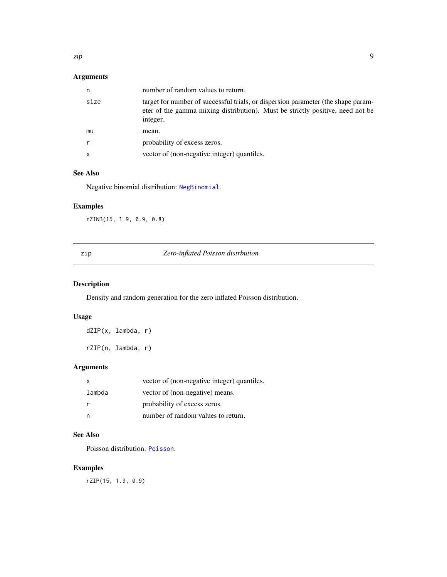#### <span id="page-8-0"></span>Arguments

| n    | number of random values to return.                                                                                                                                             |
|------|--------------------------------------------------------------------------------------------------------------------------------------------------------------------------------|
| size | target for number of successful trials, or dispersion parameter (the shape param-<br>eter of the gamma mixing distribution). Must be strictly positive, need not be<br>integer |
| mu   | mean.                                                                                                                                                                          |
| r    | probability of excess zeros.                                                                                                                                                   |
| X    | vector of (non-negative integer) quantiles.                                                                                                                                    |

#### See Also

Negative binomial distribution: [NegBinomial](#page-0-0).

#### Examples

rZINB(15, 1.9, 0.9, 0.8)

| ۰, |
|----|

#### **Zero-inflated Poisson distrbution**

#### Description

Density and random generation for the zero inflated Poisson distribution.

#### Usage

dZIP(x, lambda, r)

rZIP(n, lambda, r)

#### Arguments

| x      | vector of (non-negative integer) quantiles. |
|--------|---------------------------------------------|
| lambda | vector of (non-negative) means.             |
|        | probability of excess zeros.                |
|        | number of random values to return.          |

#### See Also

Poisson distribution: [Poisson](#page-0-0).

#### Examples

rZIP(15, 1.9, 0.9)